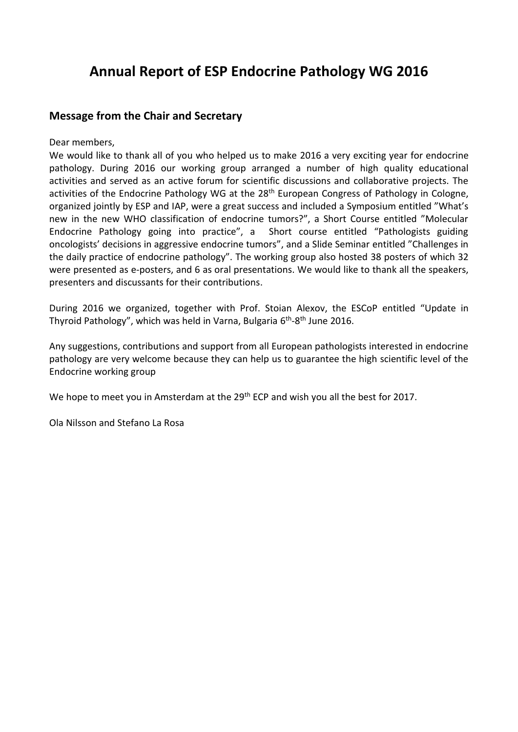# **Annual Report of ESP Endocrine Pathology WG 2016**

# **Message from the Chair and Secretary**

Dear members,

We would like to thank all of you who helped us to make 2016 a very exciting year for endocrine pathology. During 2016 our working group arranged a number of high quality educational activities and served as an active forum for scientific discussions and collaborative projects. The activities of the Endocrine Pathology WG at the 28<sup>th</sup> European Congress of Pathology in Cologne, organized jointly by ESP and IAP, were a great success and included a Symposium entitled "What's new in the new WHO classification of endocrine tumors?", a Short Course entitled "Molecular Endocrine Pathology going into practice", a Short course entitled "Pathologists guiding oncologists' decisions in aggressive endocrine tumors", and a Slide Seminar entitled "Challenges in the daily practice of endocrine pathology". The working group also hosted 38 posters of which 32 were presented as e-posters, and 6 as oral presentations. We would like to thank all the speakers, presenters and discussants for their contributions.

During 2016 we organized, together with Prof. Stoian Alexov, the ESCoP entitled "Update in Thyroid Pathology", which was held in Varna, Bulgaria 6<sup>th</sup>-8<sup>th</sup> June 2016.

Any suggestions, contributions and support from all European pathologists interested in endocrine pathology are very welcome because they can help us to guarantee the high scientific level of the Endocrine working group

We hope to meet you in Amsterdam at the 29<sup>th</sup> ECP and wish you all the best for 2017.

Ola Nilsson and Stefano La Rosa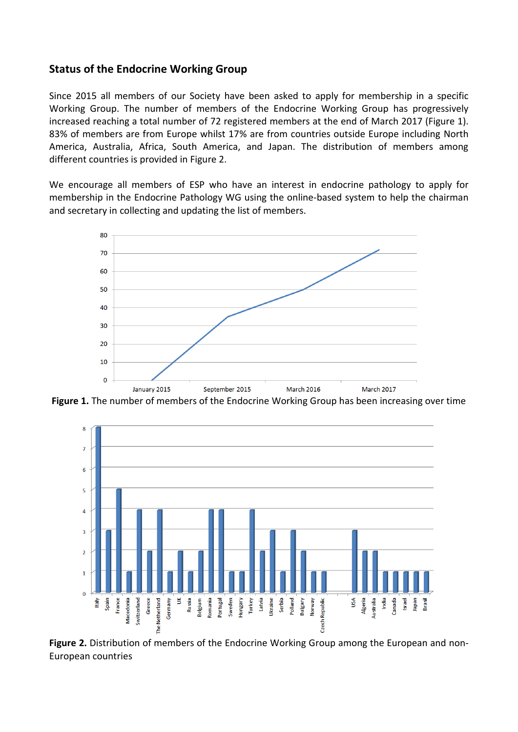### **Status of the Endocrine Working Group**

Since 2015 all members of our Society have been asked to apply for membership in a specific Working Group. The number of members of the Endocrine Working Group has progressively increased reaching a total number of 72 registered members at the end of March 2017 (Figure 1). 83% of members are from Europe whilst 17% are from countries outside Europe including North America, Australia, Africa, South America, and Japan. The distribution of members among different countries is provided in Figure 2.

We encourage all members of ESP who have an interest in endocrine pathology to apply for membership in the Endocrine Pathology WG using the online-based system to help the chairman and secretary in collecting and updating the list of members.



**Figure 1.** The number of members of the Endocrine Working Group has been increasing over time



**Figure 2.** Distribution of members of the Endocrine Working Group among the European and non-European countries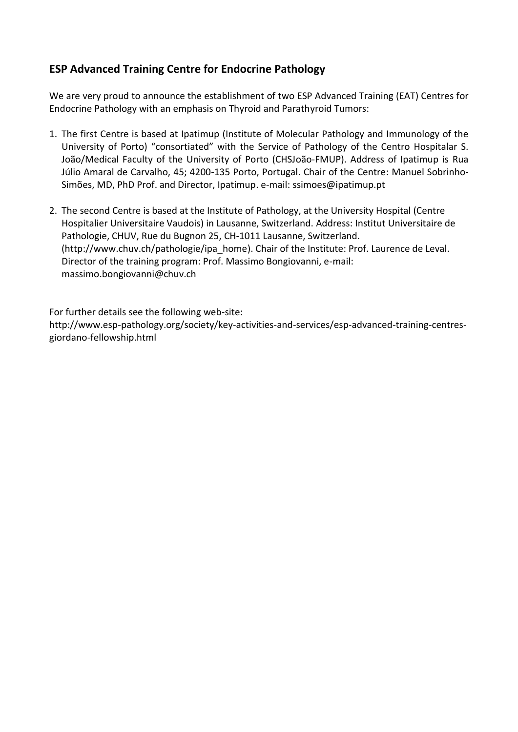# **ESP Advanced Training Centre for Endocrine Pathology**

We are very proud to announce the establishment of two ESP Advanced Training (EAT) Centres for Endocrine Pathology with an emphasis on Thyroid and Parathyroid Tumors:

- 1. The first Centre is based at Ipatimup (Institute of Molecular Pathology and Immunology of the University of Porto) "consortiated" with the Service of Pathology of the Centro Hospitalar S. João/Medical Faculty of the University of Porto (CHSJoão-FMUP). Address of Ipatimup is Rua Júlio Amaral de Carvalho, 45; 4200-135 Porto, Portugal. Chair of the Centre: Manuel Sobrinho-Simões, MD, PhD Prof. and Director, Ipatimup. e-mail: [ssimoes@ipatimup.pt](mailto:ssimoes@ipatimup.pt)
- 2. The second Centre is based at the Institute of Pathology, at the University Hospital (Centre Hospitalier Universitaire Vaudois) in Lausanne, Switzerland. Address: Institut Universitaire de Pathologie, CHUV, Rue du Bugnon 25, CH-1011 Lausanne, Switzerland. [\(http://www.chuv.ch/pathologie/ipa\\_home\)](http://www.chuv.ch/pathologie/ipa_home). Chair of the Institute: Prof. Laurence de Leval. Director of the training program: Prof. Massimo Bongiovanni, e-mail: massimo.bongiovanni@chuv.ch

For further details see the following web-site:

http://www.esp-pathology.org/society/key-activities-and-services/esp-advanced-training-centresgiordano-fellowship.html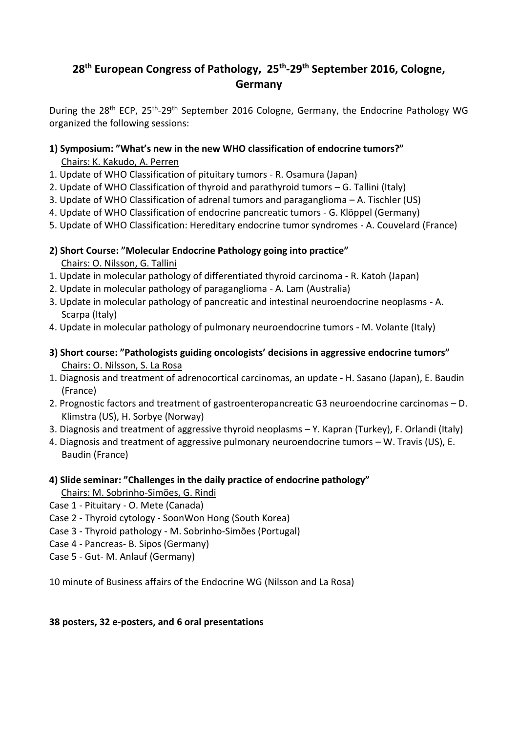# **28th European Congress of Pathology, 25th -29th September 2016, Cologne, Germany**

During the 28<sup>th</sup> ECP, 25<sup>th</sup>-29<sup>th</sup> September 2016 Cologne, Germany, the Endocrine Pathology WG organized the following sessions:

#### **1) Symposium: "What's new in the new WHO classification of endocrine tumors?"** Chairs: K. Kakudo, A. Perren

- 1. Update of WHO Classification of pituitary tumors R. Osamura (Japan)
- 2. Update of WHO Classification of thyroid and parathyroid tumors G. Tallini (Italy)
- 3. Update of WHO Classification of adrenal tumors and paraganglioma A. Tischler (US)
- 4. Update of WHO Classification of endocrine pancreatic tumors G. Klöppel (Germany)
- 5. Update of WHO Classification: Hereditary endocrine tumor syndromes A. Couvelard (France)
- **2) Short Course: "Molecular Endocrine Pathology going into practice"** Chairs: O. Nilsson, G. Tallini
- 1. Update in molecular pathology of differentiated thyroid carcinoma R. Katoh (Japan)
- 2. Update in molecular pathology of paraganglioma A. Lam (Australia)
- 3. Update in molecular pathology of pancreatic and intestinal neuroendocrine neoplasms A. Scarpa (Italy)
- 4. Update in molecular pathology of pulmonary neuroendocrine tumors M. Volante (Italy)
- **3) Short course: "Pathologists guiding oncologists' decisions in aggressive endocrine tumors"** Chairs: O. Nilsson, S. La Rosa
- 1. Diagnosis and treatment of adrenocortical carcinomas, an update H. Sasano (Japan), E. Baudin (France)
- 2. Prognostic factors and treatment of gastroenteropancreatic G3 neuroendocrine carcinomas D. Klimstra (US), H. Sorbye (Norway)
- 3. Diagnosis and treatment of aggressive thyroid neoplasms Y. Kapran (Turkey), F. Orlandi (Italy)
- 4. Diagnosis and treatment of aggressive pulmonary neuroendocrine tumors W. Travis (US), E. Baudin (France)
- **4) Slide seminar: "Challenges in the daily practice of endocrine pathology"** Chairs: M. Sobrinho-Simões, G. Rindi
- Case 1 Pituitary O. Mete (Canada)
- Case 2 Thyroid cytology SoonWon Hong (South Korea)
- Case 3 Thyroid pathology M. Sobrinho-Simões (Portugal)
- Case 4 Pancreas- B. Sipos (Germany)
- Case 5 Gut- M. Anlauf (Germany)

10 minute of Business affairs of the Endocrine WG (Nilsson and La Rosa)

#### **38 posters, 32 e-posters, and 6 oral presentations**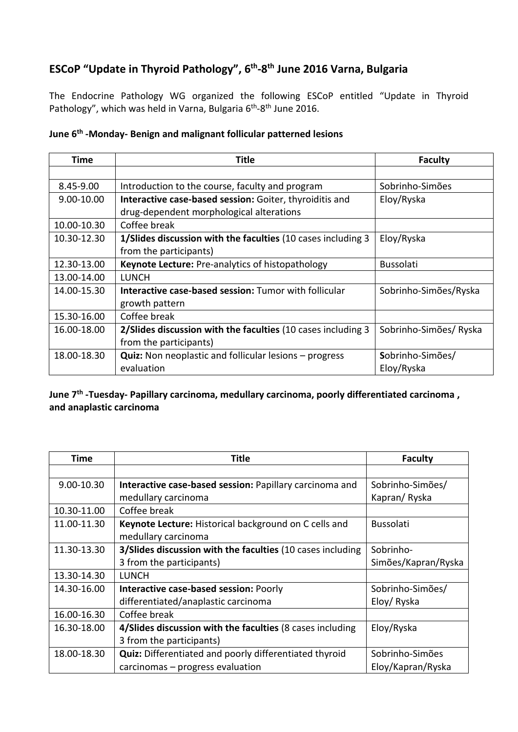# **ESCoP "Update in Thyroid Pathology", 6 th -8 th June 2016 Varna, Bulgaria**

The Endocrine Pathology WG organized the following ESCoP entitled "Update in Thyroid Pathology", which was held in Varna, Bulgaria 6<sup>th</sup>-8<sup>th</sup> June 2016.

| Time          | Title                                                           | <b>Faculty</b>         |
|---------------|-----------------------------------------------------------------|------------------------|
|               |                                                                 |                        |
| $8.45 - 9.00$ | Introduction to the course, faculty and program                 | Sobrinho-Simões        |
| 9.00-10.00    | Interactive case-based session: Goiter, thyroiditis and         | Eloy/Ryska             |
|               | drug-dependent morphological alterations                        |                        |
| 10.00-10.30   | Coffee break                                                    |                        |
| 10.30-12.30   | 1/Slides discussion with the faculties (10 cases including 3    | Eloy/Ryska             |
|               | from the participants)                                          |                        |
| 12.30-13.00   | Keynote Lecture: Pre-analytics of histopathology                | <b>Bussolati</b>       |
| 13.00-14.00   | LUNCH                                                           |                        |
| 14.00-15.30   | Interactive case-based session: Tumor with follicular           | Sobrinho-Simões/Ryska  |
|               | growth pattern                                                  |                        |
| 15.30-16.00   | Coffee break                                                    |                        |
| 16.00-18.00   | 2/Slides discussion with the faculties (10 cases including 3    | Sobrinho-Simões/ Ryska |
|               | from the participants)                                          |                        |
| 18.00-18.30   | <b>Quiz:</b> Non neoplastic and follicular lesions $-$ progress | Sobrinho-Simões/       |
|               | evaluation                                                      | Eloy/Ryska             |

#### **June 6th -Monday- Benign and malignant follicular patterned lesions**

**June 7th -Tuesday- Papillary carcinoma, medullary carcinoma, poorly differentiated carcinoma , and anaplastic carcinoma**

| Time        | <b>Title</b>                                                  | <b>Faculty</b>      |
|-------------|---------------------------------------------------------------|---------------------|
|             |                                                               |                     |
| 9.00-10.30  | Interactive case-based session: Papillary carcinoma and       | Sobrinho-Simões/    |
|             | medullary carcinoma                                           | Kapran/Ryska        |
| 10.30-11.00 | Coffee break                                                  |                     |
| 11.00-11.30 | Keynote Lecture: Historical background on C cells and         | <b>Bussolati</b>    |
|             | medullary carcinoma                                           |                     |
| 11.30-13.30 | 3/Slides discussion with the faculties (10 cases including    | Sobrinho-           |
|             | 3 from the participants)                                      | Simões/Kapran/Ryska |
| 13.30-14.30 | <b>LUNCH</b>                                                  |                     |
| 14.30-16.00 | Interactive case-based session: Poorly                        | Sobrinho-Simões/    |
|             | differentiated/anaplastic carcinoma                           | Eloy/Ryska          |
| 16.00-16.30 | Coffee break                                                  |                     |
| 16.30-18.00 | 4/Slides discussion with the faculties (8 cases including     | Eloy/Ryska          |
|             | 3 from the participants)                                      |                     |
| 18.00-18.30 | <b>Quiz:</b> Differentiated and poorly differentiated thyroid | Sobrinho-Simões     |
|             | carcinomas – progress evaluation                              | Eloy/Kapran/Ryska   |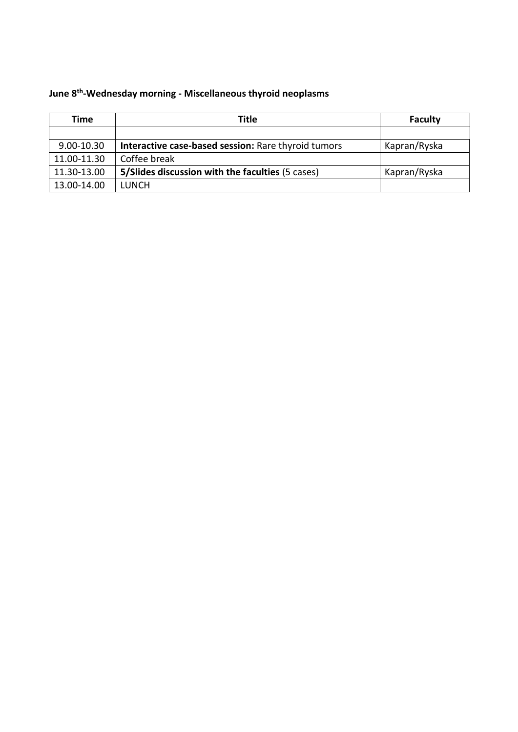#### **June 8th -Wednesday morning - Miscellaneous thyroid neoplasms**

| Time        | Title                                               | <b>Faculty</b> |
|-------------|-----------------------------------------------------|----------------|
|             |                                                     |                |
| 9.00-10.30  | Interactive case-based session: Rare thyroid tumors | Kapran/Ryska   |
| 11.00-11.30 | Coffee break                                        |                |
| 11.30-13.00 | 5/Slides discussion with the faculties (5 cases)    | Kapran/Ryska   |
| 13.00-14.00 | <b>LUNCH</b>                                        |                |